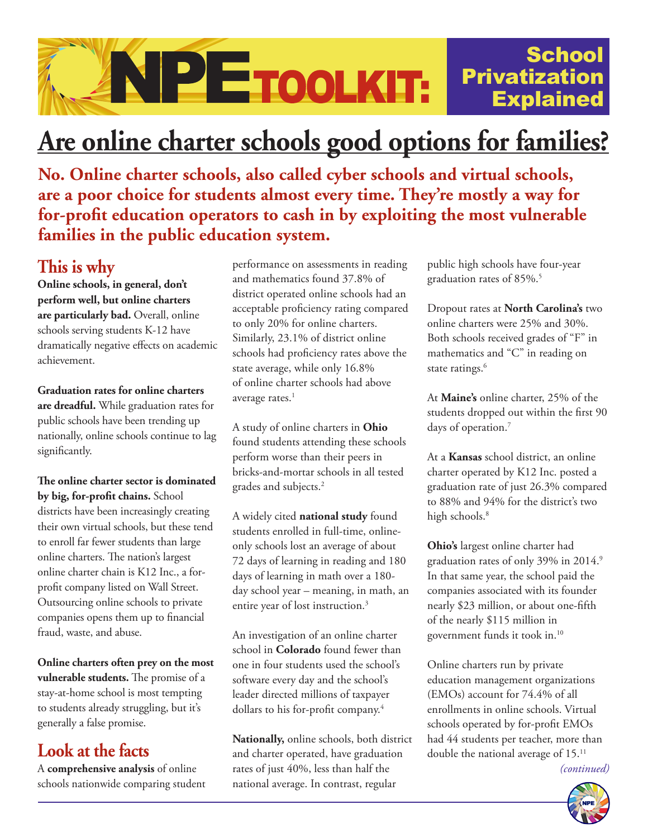#### **School ANPETOOLKIT:** Privatization Explained

# **Are online charter schools good options for families?**

**No. Online charter schools, also called cyber schools and virtual schools, are a poor choice for students almost every time. They're mostly a way for for-profit education operators to cash in by exploiting the most vulnerable families in the public education system.**

## **This is why**

**Online schools, in general, don't perform well, but online charters are particularly bad.** Overall, online schools serving students K-12 have dramatically negative effects on academic achievement.

**Graduation rates for online charters are dreadful.** While graduation rates for public schools have been trending up nationally, online schools continue to lag significantly.

**The online charter sector is dominated by big, for-profit chains.** School districts have been increasingly creating their own virtual schools, but these tend to enroll far fewer students than large online charters. The nation's largest online charter chain is K12 Inc., a forprofit company listed on Wall Street. Outsourcing online schools to private companies opens them up to financial fraud, waste, and abuse.

**Online charters often prey on the most vulnerable students.** The promise of a stay-at-home school is most tempting to students already struggling, but it's generally a false promise.

### **Look at the facts**

A **comprehensive analysis** of online schools nationwide comparing student performance on assessments in reading and mathematics found 37.8% of district operated online schools had an acceptable proficiency rating compared to only 20% for online charters. Similarly, 23.1% of district online schools had proficiency rates above the state average, while only 16.8% of online charter schools had above average rates.<sup>1</sup>

A study of online charters in **Ohio** found students attending these schools perform worse than their peers in bricks-and-mortar schools in all tested grades and subjects.2

A widely cited **national study** found students enrolled in full-time, onlineonly schools lost an average of about 72 days of learning in reading and 180 days of learning in math over a 180 day school year – meaning, in math, an entire year of lost instruction.3

An investigation of an online charter school in **Colorado** found fewer than one in four students used the school's software every day and the school's leader directed millions of taxpayer dollars to his for-profit company.<sup>4</sup>

**Nationally,** online schools, both district and charter operated, have graduation rates of just 40%, less than half the national average. In contrast, regular

public high schools have four-year graduation rates of 85%.5

Dropout rates at **North Carolina's** two online charters were 25% and 30%. Both schools received grades of "F" in mathematics and "C" in reading on state ratings.<sup>6</sup>

At **Maine's** online charter, 25% of the students dropped out within the first 90 days of operation.<sup>7</sup>

At a **Kansas** school district, an online charter operated by K12 Inc. posted a graduation rate of just 26.3% compared to 88% and 94% for the district's two high schools.<sup>8</sup>

**Ohio's** largest online charter had graduation rates of only 39% in 2014.9 In that same year, the school paid the companies associated with its founder nearly \$23 million, or about one-fifth of the nearly \$115 million in government funds it took in.10

Online charters run by private education management organizations (EMOs) account for 74.4% of all enrollments in online schools. Virtual schools operated by for-profit EMOs had 44 students per teacher, more than double the national average of 15.11

*(continued)*